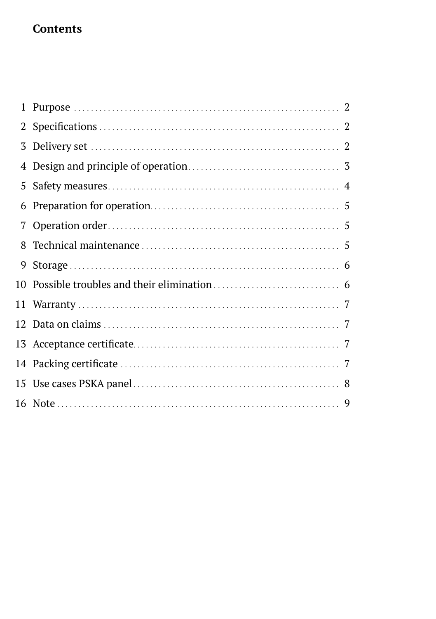## **Contents**

| 1  |  |
|----|--|
|    |  |
| 3  |  |
|    |  |
| 5. |  |
| 6  |  |
|    |  |
| 8  |  |
| 9  |  |
|    |  |
|    |  |
|    |  |
|    |  |
|    |  |
|    |  |
|    |  |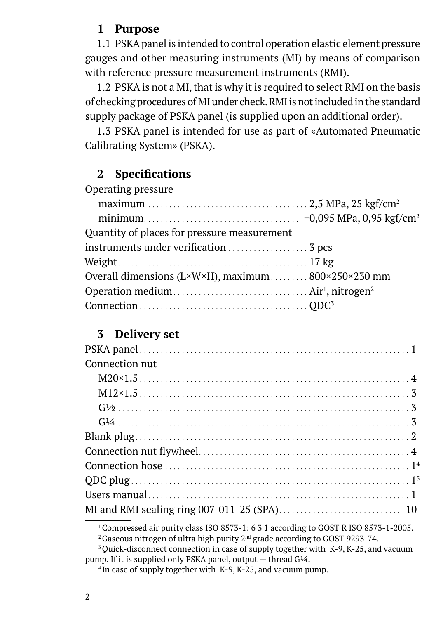### **1 Purpose**

1.1 PSKA panel is intended to control operation elastic element pressure gauges and other measuring instruments (MI) by means of comparison with reference pressure measurement instruments (RMI).

1.2 PSKA is not a MI, that is why it is required to select RMI on the basis of checking procedures of MI under check. RMI is not included in the standard supply package of PSKA panel (is supplied upon an additional order).

1.3 PSKA panel is intended for use as part of «Automated Pneumatic Calibrating System» (PSKA).

### **2 Specifications**

| Operating pressure                                 |  |
|----------------------------------------------------|--|
|                                                    |  |
|                                                    |  |
| Quantity of places for pressure measurement        |  |
|                                                    |  |
|                                                    |  |
| Overall dimensions (L×W×H), maximum 800×250×230 mm |  |
|                                                    |  |
|                                                    |  |
|                                                    |  |

### **3 Delivery set**

| Connection nut |  |
|----------------|--|
|                |  |
|                |  |
|                |  |
|                |  |
|                |  |
|                |  |
|                |  |
|                |  |
|                |  |
|                |  |

<sup>1</sup> Compressed air purity class ISO 8573-1: 6 3 1 according to GOST R ISO 8573-1-2005.

<sup>2</sup> Gaseous nitrogen of ultra high purity  $2<sup>nd</sup>$  grade according to GOST 9293-74.

<sup>&</sup>lt;sup>3</sup> Quick-disconnect connection in case of supply together with K-9, K-25, and vacuum pump. If it is supplied only PSKA panel, output — thread G¼.

<sup>&</sup>lt;sup>4</sup> In case of supply together with K-9, K-25, and vacuum pump.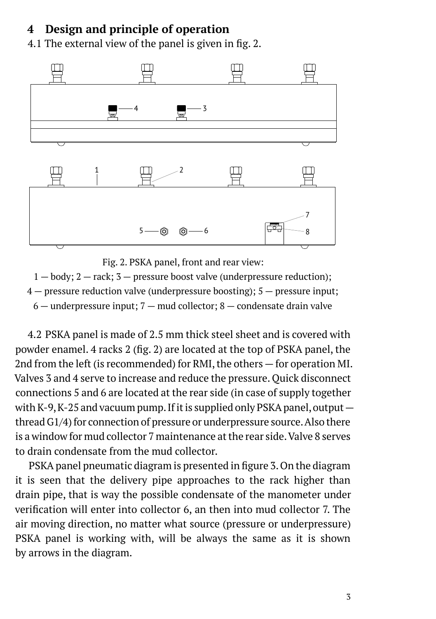## **4 Design and principle of operation**

4.1 The external view of the panel is given in fig. 2.



Fig. 2. PSKA panel, front and rear view:

 $1 - body$ ;  $2 - rack$ ;  $3 - pressure$  boost valve (underpressure reduction);

 $4$  – pressure reduction valve (underpressure boosting);  $5$  – pressure input;

 $6$  — underpressure input;  $7$  — mud collector;  $8$  — condensate drain valve

4.2 PSKA panel is made of 2.5 mm thick steel sheet and is covered with powder enamel. 4 racks 2 (fig. 2) are located at the top of PSKA panel, the 2nd from the left (is recommended) for RMI, the others — for operation MI. Valves 3 and 4 serve to increase and reduce the pressure. Quick disconnect connections 5 and 6 are located at the rear side (in case of supply together with K-9, K-25 and vacuum pump. If it is supplied only PSKA panel, output  $$ thread G1/4) for connection of pressure or underpressure source. Also there is a window for mud collector 7 maintenance at the rear side. Valve 8 serves to drain condensate from the mud collector.

PSKA panel pneumatic diagram is presented in figure 3. On the diagram it is seen that the delivery pipe approaches to the rack higher than drain pipe, that is way the possible condensate of the manometer under verification will enter into collector 6, an then into mud collector 7. The air moving direction, no matter what source (pressure or underpressure) PSKA panel is working with, will be always the same as it is shown by arrows in the diagram.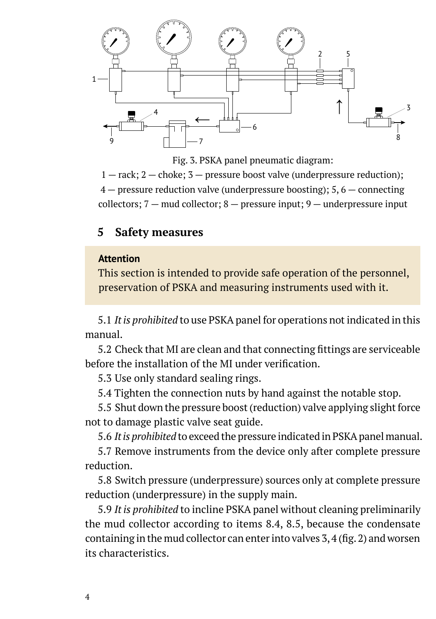

Fig. 3. PSKA panel pneumatic diagram:

 $1 -$  rack;  $2 -$  choke;  $3 -$  pressure boost valve (underpressure reduction);  $4$  – pressure reduction valve (underpressure boosting); 5, 6 – connecting collectors;  $7 -$  mud collector;  $8 -$  pressure input;  $9 -$  underpressure input

### **5 Safety measures**

#### **Attention**

This section is intended to provide safe operation of the personnel, preservation of PSKA and measuring instruments used with it.

5.1 *It is prohibited* to use PSKA panel for operations not indicated in this manual.

5.2 Check that MI are clean and that connecting fittings are serviceable before the installation of the MI under verification.

5.3 Use only standard sealing rings.

5.4 Tighten the connection nuts by hand against the notable stop.

5.5 Shut down the pressure boost (reduction) valve applying slight force not to damage plastic valve seat guide.

5.6 *It is prohibited* to exceed the pressure indicated in PSKA panel manual.

5.7 Remove instruments from the device only after complete pressure reduction.

5.8 Switch pressure (underpressure) sources only at complete pressure reduction (underpressure) in the supply main.

5.9 *It is prohibited* to incline PSKA panel without cleaning preliminarily the mud collector according to items 8.4, 8.5, because the condensate containing in the mud collector can enter into valves 3, 4 (fig. 2) and worsen its characteristics.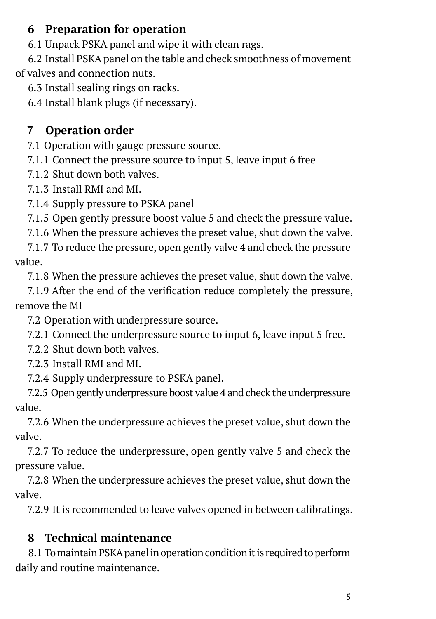## **6 Preparation for operation**

6.1 Unpack PSKA panel and wipe it with clean rags.

6.2 Install PSKA panel on the table and check smoothness of movement of valves and connection nuts.

6.3 Install sealing rings on racks.

6.4 Install blank plugs (if necessary).

# **7 Operation order**

7.1 Operation with gauge pressure source.

7.1.1 Connect the pressure source to input 5, leave input 6 free

7.1.2 Shut down both valves.

7.1.3 Install RMI and MI.

7.1.4 Supply pressure to PSKA panel

7.1.5 Open gently pressure boost value 5 and check the pressure value.

7.1.6 When the pressure achieves the preset value, shut down the valve.

7.1.7 To reduce the pressure, open gently valve 4 and check the pressure value.

7.1.8 When the pressure achieves the preset value, shut down the valve.

7.1.9 After the end of the verification reduce completely the pressure, remove the MI

7.2 Operation with underpressure source.

7.2.1 Connect the underpressure source to input 6, leave input 5 free.

7.2.2 Shut down both valves.

7.2.3 Install RMI and MI.

7.2.4 Supply underpressure to PSKA panel.

7.2.5 Open gently underpressure boost value 4 and check the underpressure value.

7.2.6 When the underpressure achieves the preset value, shut down the valve.

7.2.7 To reduce the underpressure, open gently valve 5 and check the pressure value.

7.2.8 When the underpressure achieves the preset value, shut down the valve.

7.2.9 It is recommended to leave valves opened in between calibratings.

# **8 Technical maintenance**

8.1 To maintain PSKA panel in operation condition it is required to perform daily and routine maintenance.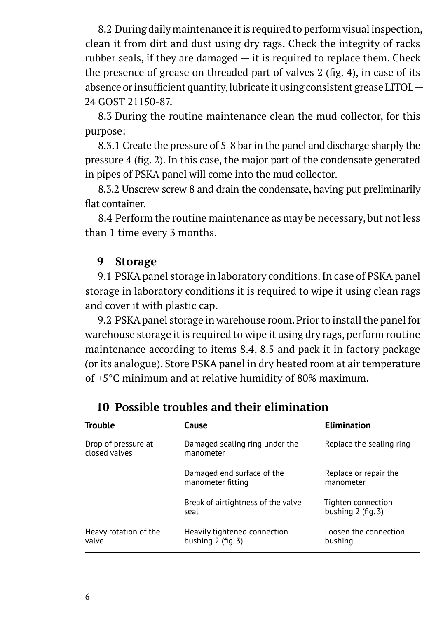8.2 During daily maintenance it is required to perform visual inspection, clean it from dirt and dust using dry rags. Check the integrity of racks rubber seals, if they are damaged  $-$  it is required to replace them. Check the presence of grease on threaded part of valves 2 (fig. 4), in case of its absence or insufficient quantity, lubricate it using consistent grease LITOL — 24 GOST 21150-87.

8.3 During the routine maintenance clean the mud collector, for this purpose:

8.3.1 Create the pressure of 5-8 bar in the panel and discharge sharply the pressure 4 (fig. 2). In this case, the major part of the condensate generated in pipes of PSKA panel will come into the mud collector.

8.3.2 Unscrew screw 8 and drain the condensate, having put preliminarily flat container.

8.4 Perform the routine maintenance as may be necessary, but not less than 1 time every 3 months.

### **9 Storage**

9.1 PSKA panel storage in laboratory conditions. In case of PSKA panel storage in laboratory conditions it is required to wipe it using clean rags and cover it with plastic cap.

9.2 PSKA panel storage in warehouse room. Prior to install the panel for warehouse storage it is required to wipe it using dry rags, perform routine maintenance according to items 8.4, 8.5 and pack it in factory package (or its analogue). Store PSKA panel in dry heated room at air temperature of +5°С minimum and at relative humidity of 80% maximum.

| Trouble                              | Cause                                                   | <b>Elimination</b>                            |  |
|--------------------------------------|---------------------------------------------------------|-----------------------------------------------|--|
| Drop of pressure at<br>closed valves | Damaged sealing ring under the<br>manometer             | Replace the sealing ring                      |  |
|                                      | Damaged end surface of the<br>manometer fitting         | Replace or repair the<br>manometer            |  |
|                                      | Break of airtightness of the valve<br>seal              | Tighten connection<br>bushing $2$ (fig. $3$ ) |  |
| Heavy rotation of the<br>valve       | Heavily tightened connection<br>bushing $2$ (fig. $3$ ) | Loosen the connection<br>bushing              |  |

## **10 Possible troubles and their elimination**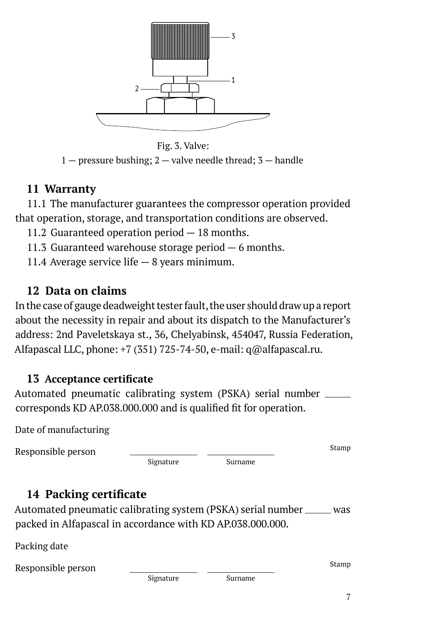

Fig. 3. Valve:  $1$  — pressure bushing;  $2$  — valve needle thread;  $3$  — handle

### **11 Warranty**

11.1 The manufacturer guarantees the compressor operation provided that operation, storage, and transportation conditions are observed.

11.2 Guaranteed operation period — 18 months.

11.3 Guaranteed warehouse storage period  $-6$  months.

11.4 Average service life — 8 years minimum.

## **12 Data on claims**

In the case of gauge deadweight tester fault, the user should draw up a report about the necessity in repair and about its dispatch to the Manufacturer's address: 2nd Paveletskaya st., 36, Chelyabinsk, 454047, Russia Federation, Alfapascal LLC, phone: +7 (351) 725-74-50, e-mail: q@alfapascal.ru.

## **13 Acceptance certificate**

Automated pneumatic calibrating system (PSKA) serial number corresponds KD AP.038.000.000 and is qualified fit for operation.

|  | Date of manufacturing |
|--|-----------------------|
|  |                       |

Responsible person

Signature Surname

Stamp

# **14 Packing certificate**

Automated pneumatic calibrating system (PSKA) serial number \_\_\_\_\_ was packed in Alfapascal in accordance with KD AP.038.000.000.

Packing date

Responsible person

Signature Surname

Stamp